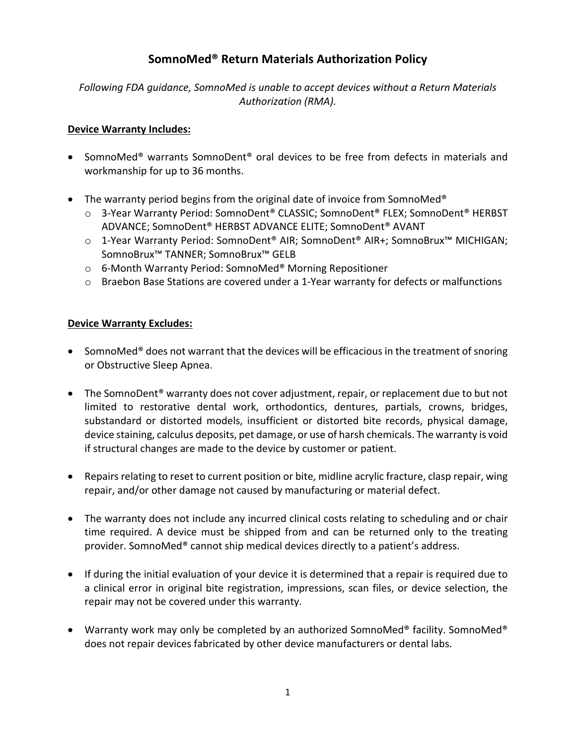# **SomnoMed® Return Materials Authorization Policy**

*Following FDA guidance, SomnoMed is unable to accept devices without a Return Materials Authorization (RMA).*

### **Device Warranty Includes:**

- SomnoMed® warrants SomnoDent® oral devices to be free from defects in materials and workmanship for up to 36 months.
- The warranty period begins from the original date of invoice from SomnoMed<sup>®</sup>
	- o 3-Year Warranty Period: SomnoDent® CLASSIC; SomnoDent® FLEX; SomnoDent® HERBST ADVANCE; SomnoDent® HERBST ADVANCE ELITE; SomnoDent® AVANT
	- o 1-Year Warranty Period: SomnoDent® AIR; SomnoDent® AIR+; SomnoBrux™ MICHIGAN; SomnoBrux™ TANNER; SomnoBrux™ GELB
	- o 6-Month Warranty Period: SomnoMed® Morning Repositioner
	- $\circ$  Braebon Base Stations are covered under a 1-Year warranty for defects or malfunctions

#### **Device Warranty Excludes:**

- SomnoMed<sup>®</sup> does not warrant that the devices will be efficacious in the treatment of snoring or Obstructive Sleep Apnea.
- The SomnoDent<sup>®</sup> warranty does not cover adjustment, repair, or replacement due to but not limited to restorative dental work, orthodontics, dentures, partials, crowns, bridges, substandard or distorted models, insufficient or distorted bite records, physical damage, device staining, calculus deposits, pet damage, or use of harsh chemicals. The warranty is void if structural changes are made to the device by customer or patient.
- Repairs relating to reset to current position or bite, midline acrylic fracture, clasp repair, wing repair, and/or other damage not caused by manufacturing or material defect.
- The warranty does not include any incurred clinical costs relating to scheduling and or chair time required. A device must be shipped from and can be returned only to the treating provider. SomnoMed® cannot ship medical devices directly to a patient's address.
- If during the initial evaluation of your device it is determined that a repair is required due to a clinical error in original bite registration, impressions, scan files, or device selection, the repair may not be covered under this warranty.
- Warranty work may only be completed by an authorized SomnoMed® facility. SomnoMed® does not repair devices fabricated by other device manufacturers or dental labs.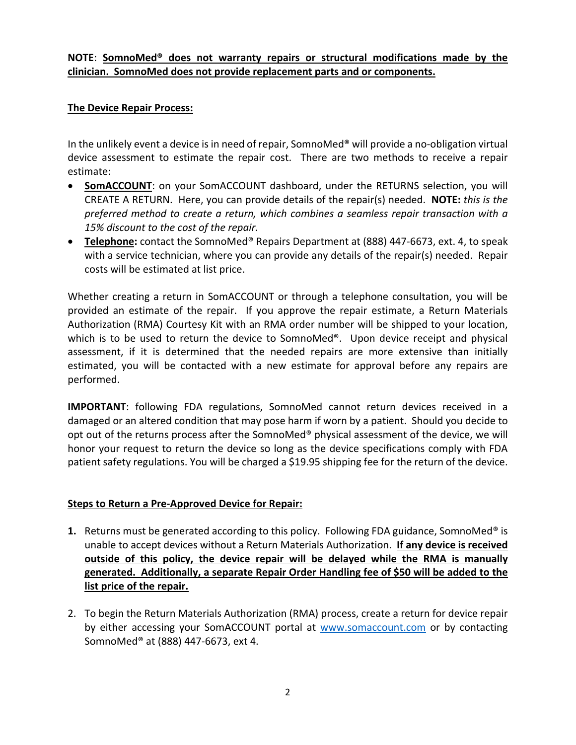### **NOTE**: **SomnoMed® does not warranty repairs or structural modifications made by the clinician. SomnoMed does not provide replacement parts and or components.**

#### **The Device Repair Process:**

In the unlikely event a device is in need of repair, SomnoMed® will provide a no-obligation virtual device assessment to estimate the repair cost. There are two methods to receive a repair estimate:

- **SomACCOUNT:** on your SomACCOUNT dashboard, under the RETURNS selection, you will CREATE A RETURN. Here, you can provide details of the repair(s) needed. **NOTE:** *this is the preferred method to create a return, which combines a seamless repair transaction with a 15% discount to the cost of the repair.*
- **Telephone:** contact the SomnoMed® Repairs Department at (888) 447-6673, ext. 4, to speak with a service technician, where you can provide any details of the repair(s) needed. Repair costs will be estimated at list price.

Whether creating a return in SomACCOUNT or through a telephone consultation, you will be provided an estimate of the repair. If you approve the repair estimate, a Return Materials Authorization (RMA) Courtesy Kit with an RMA order number will be shipped to your location, which is to be used to return the device to SomnoMed®. Upon device receipt and physical assessment, if it is determined that the needed repairs are more extensive than initially estimated, you will be contacted with a new estimate for approval before any repairs are performed.

**IMPORTANT**: following FDA regulations, SomnoMed cannot return devices received in a damaged or an altered condition that may pose harm if worn by a patient. Should you decide to opt out of the returns process after the SomnoMed® physical assessment of the device, we will honor your request to return the device so long as the device specifications comply with FDA patient safety regulations. You will be charged a \$19.95 shipping fee for the return of the device.

#### **Steps to Return a Pre-Approved Device for Repair:**

- **1.** Returns must be generated according to this policy. Following FDA guidance, SomnoMed® is unable to accept devices without a Return Materials Authorization. **If any device is received outside of this policy, the device repair will be delayed while the RMA is manually generated. Additionally, a separate Repair Order Handling fee of \$50 will be added to the list price of the repair.**
- 2. To begin the Return Materials Authorization (RMA) process, create a return for device repair by either accessing your SomACCOUNT portal at [www.somaccount.com](http://www.somaccount.com/) or by contacting SomnoMed® at (888) 447-6673, ext 4.